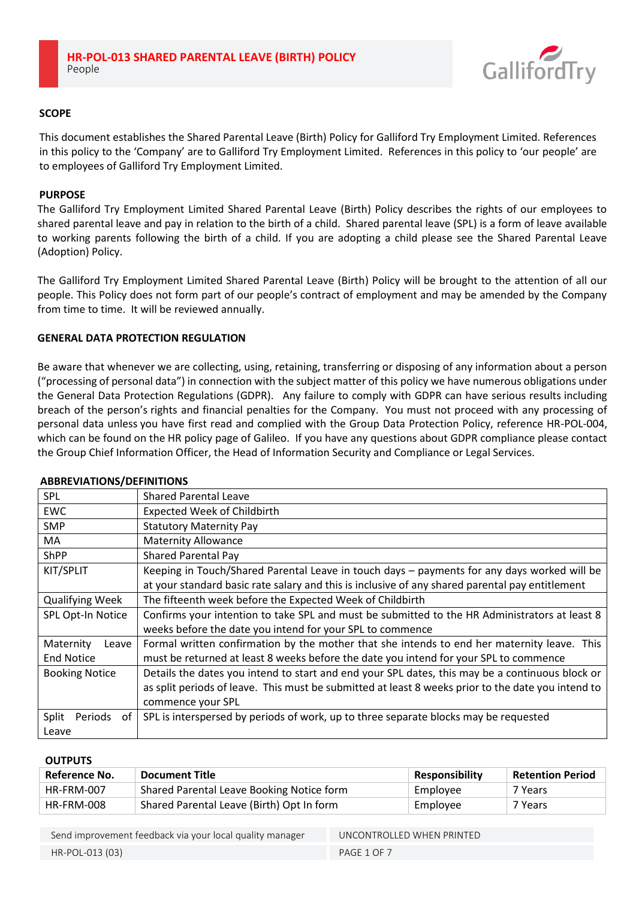

# **SCOPE**

This document establishes the Shared Parental Leave (Birth) Policy for Galliford Try Employment Limited. References in this policy to the 'Company' are to Galliford Try Employment Limited. References in this policy to 'our people' are to employees of Galliford Try Employment Limited.

## **PURPOSE**

The Galliford Try Employment Limited Shared Parental Leave (Birth) Policy describes the rights of our employees to shared parental leave and pay in relation to the birth of a child. Shared parental leave (SPL) is a form of leave available to working parents following the birth of a child. If you are adopting a child please see the Shared Parental Leave (Adoption) Policy.

The Galliford Try Employment Limited Shared Parental Leave (Birth) Policy will be brought to the attention of all our people. This Policy does not form part of our people's contract of employment and may be amended by the Company from time to time. It will be reviewed annually.

# **GENERAL DATA PROTECTION REGULATION**

Be aware that whenever we are collecting, using, retaining, transferring or disposing of any information about a person ("processing of personal data") in connection with the subject matter of this policy we have numerous obligations under the General Data Protection Regulations (GDPR). Any failure to comply with GDPR can have serious results including breach of the person's rights and financial penalties for the Company. You must not proceed with any processing of personal data unless you have first read and complied with the Group Data Protection Policy, reference HR-POL-004, which can be found on the HR policy page of Galileo. If you have any questions about GDPR compliance please contact the Group Chief Information Officer, the Head of Information Security and Compliance or Legal Services.

| <b>ABBREVIATIONS/DEFINITIONS</b>        |                                                                                                                                                                                                                            |  |
|-----------------------------------------|----------------------------------------------------------------------------------------------------------------------------------------------------------------------------------------------------------------------------|--|
| <b>SPL</b>                              | <b>Shared Parental Leave</b>                                                                                                                                                                                               |  |
| EWC                                     | <b>Expected Week of Childbirth</b>                                                                                                                                                                                         |  |
| <b>SMP</b>                              | <b>Statutory Maternity Pay</b>                                                                                                                                                                                             |  |
| MA.                                     | <b>Maternity Allowance</b>                                                                                                                                                                                                 |  |
| <b>ShPP</b>                             | <b>Shared Parental Pay</b>                                                                                                                                                                                                 |  |
| KIT/SPLIT                               | Keeping in Touch/Shared Parental Leave in touch days - payments for any days worked will be<br>at your standard basic rate salary and this is inclusive of any shared parental pay entitlement                             |  |
| <b>Qualifying Week</b>                  | The fifteenth week before the Expected Week of Childbirth                                                                                                                                                                  |  |
| SPL Opt-In Notice                       | Confirms your intention to take SPL and must be submitted to the HR Administrators at least 8<br>weeks before the date you intend for your SPL to commence                                                                 |  |
| Maternity<br>Leave<br><b>End Notice</b> | Formal written confirmation by the mother that she intends to end her maternity leave. This<br>must be returned at least 8 weeks before the date you intend for your SPL to commence                                       |  |
| <b>Booking Notice</b>                   | Details the dates you intend to start and end your SPL dates, this may be a continuous block or<br>as split periods of leave. This must be submitted at least 8 weeks prior to the date you intend to<br>commence your SPL |  |
| Periods<br>Split<br>0f<br>Leave         | SPL is interspersed by periods of work, up to three separate blocks may be requested                                                                                                                                       |  |
|                                         |                                                                                                                                                                                                                            |  |

## **OUTPUTS**

| Reference No. | <b>Document Title</b>                     | <b>Responsibility</b> | <b>Retention Period</b> |
|---------------|-------------------------------------------|-----------------------|-------------------------|
| HR-FRM-007    | Shared Parental Leave Booking Notice form | Employee              | 7 Years                 |
| HR-FRM-008    | Shared Parental Leave (Birth) Opt In form | Employee              | 7 Years                 |

Send improvement feedback via your local quality manager UNCONTROLLED WHEN PRINTED HR-POL-013 (03) PAGE 1 OF 7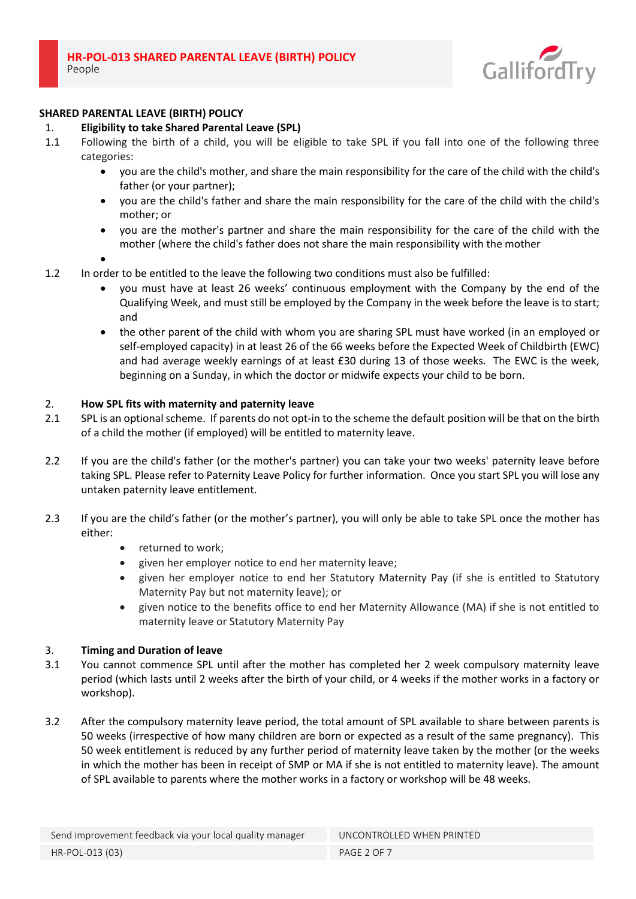

# **SHARED PARENTAL LEAVE (BIRTH) POLICY**

# 1. **Eligibility to take Shared Parental Leave (SPL)**

- 1.1 Following the birth of a child, you will be eligible to take SPL if you fall into one of the following three categories:
	- you are the child's mother, and share the main responsibility for the care of the child with the child's father (or your partner);
	- you are the child's father and share the main responsibility for the care of the child with the child's mother; or
	- you are the mother's partner and share the main responsibility for the care of the child with the mother (where the child's father does not share the main responsibility with the mother
	- •
- 1.2 In order to be entitled to the leave the following two conditions must also be fulfilled:
	- you must have at least 26 weeks' continuous employment with the Company by the end of the Qualifying Week, and must still be employed by the Company in the week before the leave is to start; and
	- the other parent of the child with whom you are sharing SPL must have worked (in an employed or self-employed capacity) in at least 26 of the 66 weeks before the Expected Week of Childbirth (EWC) and had average weekly earnings of at least £30 during 13 of those weeks. The EWC is the week, beginning on a Sunday, in which the doctor or midwife expects your child to be born.

# 2. **How SPL fits with maternity and paternity leave**

- 2.1 SPL is an optional scheme. If parents do not opt-in to the scheme the default position will be that on the birth of a child the mother (if employed) will be entitled to maternity leave.
- 2.2 If you are the child's father (or the mother's partner) you can take your two weeks' paternity leave before taking SPL. Please refer to Paternity Leave Policy for further information. Once you start SPL you will lose any untaken paternity leave entitlement.
- 2.3 If you are the child's father (or the mother's partner), you will only be able to take SPL once the mother has either:
	- returned to work;
	- given her employer notice to end her maternity leave;
	- given her employer notice to end her Statutory Maternity Pay (if she is entitled to Statutory Maternity Pay but not maternity leave); or
	- given notice to the benefits office to end her Maternity Allowance (MA) if she is not entitled to maternity leave or Statutory Maternity Pay

## 3. **Timing and Duration of leave**

- 3.1 You cannot commence SPL until after the mother has completed her 2 week compulsory maternity leave period (which lasts until 2 weeks after the birth of your child, or 4 weeks if the mother works in a factory or workshop).
- 3.2 After the compulsory maternity leave period, the total amount of SPL available to share between parents is 50 weeks (irrespective of how many children are born or expected as a result of the same pregnancy). This 50 week entitlement is reduced by any further period of maternity leave taken by the mother (or the weeks in which the mother has been in receipt of SMP or MA if she is not entitled to maternity leave). The amount of SPL available to parents where the mother works in a factory or workshop will be 48 weeks.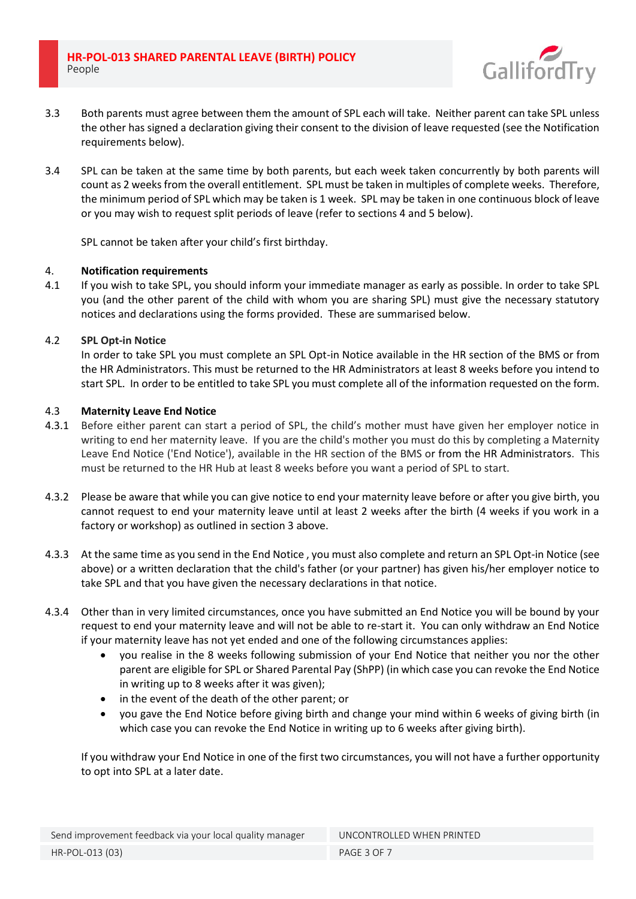**HR-POL-013 SHARED PARENTAL LEAVE (BIRTH) POLICY** People



- 3.3 Both parents must agree between them the amount of SPL each will take. Neither parent can take SPL unless the other has signed a declaration giving their consent to the division of leave requested (see the Notification requirements below).
- 3.4 SPL can be taken at the same time by both parents, but each week taken concurrently by both parents will count as 2 weeks from the overall entitlement. SPL must be taken in multiples of complete weeks. Therefore, the minimum period of SPL which may be taken is 1 week. SPL may be taken in one continuous block of leave or you may wish to request split periods of leave (refer to sections 4 and 5 below).

SPL cannot be taken after your child's first birthday.

## 4. **Notification requirements**

4.1 If you wish to take SPL, you should inform your immediate manager as early as possible. In order to take SPL you (and the other parent of the child with whom you are sharing SPL) must give the necessary statutory notices and declarations using the forms provided. These are summarised below.

# 4.2 **SPL Opt-in Notice**

In order to take SPL you must complete an SPL Opt-in Notice available in the HR section of the BMS or from the HR Administrators. This must be returned to the HR Administrators at least 8 weeks before you intend to start SPL. In order to be entitled to take SPL you must complete all of the information requested on the form.

# 4.3 **Maternity Leave End Notice**

- 4.3.1 Before either parent can start a period of SPL, the child's mother must have given her employer notice in writing to end her maternity leave. If you are the child's mother you must do this by completing a Maternity Leave End Notice ('End Notice'), available in the HR section of the BMS or from the HR Administrators. This must be returned to the HR Hub at least 8 weeks before you want a period of SPL to start.
- 4.3.2 Please be aware that while you can give notice to end your maternity leave before or after you give birth, you cannot request to end your maternity leave until at least 2 weeks after the birth (4 weeks if you work in a factory or workshop) as outlined in section 3 above.
- 4.3.3 At the same time as you send in the End Notice , you must also complete and return an SPL Opt-in Notice (see above) or a written declaration that the child's father (or your partner) has given his/her employer notice to take SPL and that you have given the necessary declarations in that notice.
- 4.3.4 Other than in very limited circumstances, once you have submitted an End Notice you will be bound by your request to end your maternity leave and will not be able to re-start it. You can only withdraw an End Notice if your maternity leave has not yet ended and one of the following circumstances applies:
	- you realise in the 8 weeks following submission of your End Notice that neither you nor the other parent are eligible for SPL or Shared Parental Pay (ShPP) (in which case you can revoke the End Notice in writing up to 8 weeks after it was given);
	- in the event of the death of the other parent; or
	- you gave the End Notice before giving birth and change your mind within 6 weeks of giving birth (in which case you can revoke the End Notice in writing up to 6 weeks after giving birth).

If you withdraw your End Notice in one of the first two circumstances, you will not have a further opportunity to opt into SPL at a later date.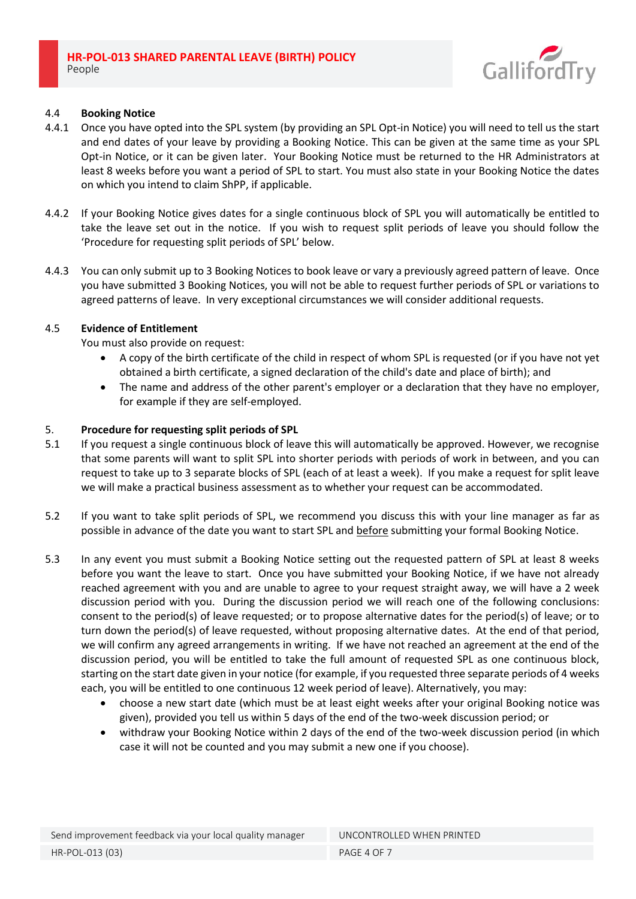

## 4.4 **Booking Notice**

- 4.4.1 Once you have opted into the SPL system (by providing an SPL Opt-in Notice) you will need to tell us the start and end dates of your leave by providing a Booking Notice. This can be given at the same time as your SPL Opt-in Notice, or it can be given later. Your Booking Notice must be returned to the HR Administrators at least 8 weeks before you want a period of SPL to start. You must also state in your Booking Notice the dates on which you intend to claim ShPP, if applicable.
- 4.4.2 If your Booking Notice gives dates for a single continuous block of SPL you will automatically be entitled to take the leave set out in the notice. If you wish to request split periods of leave you should follow the 'Procedure for requesting split periods of SPL' below.
- 4.4.3 You can only submit up to 3 Booking Notices to book leave or vary a previously agreed pattern of leave. Once you have submitted 3 Booking Notices, you will not be able to request further periods of SPL or variations to agreed patterns of leave. In very exceptional circumstances we will consider additional requests.

# 4.5 **Evidence of Entitlement**

You must also provide on request:

- A copy of the birth certificate of the child in respect of whom SPL is requested (or if you have not yet obtained a birth certificate, a signed declaration of the child's date and place of birth); and
- The name and address of the other parent's employer or a declaration that they have no employer, for example if they are self-employed.

# 5. **Procedure for requesting split periods of SPL**

- 5.1 If you request a single continuous block of leave this will automatically be approved. However, we recognise that some parents will want to split SPL into shorter periods with periods of work in between, and you can request to take up to 3 separate blocks of SPL (each of at least a week). If you make a request for split leave we will make a practical business assessment as to whether your request can be accommodated.
- 5.2 If you want to take split periods of SPL, we recommend you discuss this with your line manager as far as possible in advance of the date you want to start SPL and before submitting your formal Booking Notice.
- 5.3 In any event you must submit a Booking Notice setting out the requested pattern of SPL at least 8 weeks before you want the leave to start. Once you have submitted your Booking Notice, if we have not already reached agreement with you and are unable to agree to your request straight away, we will have a 2 week discussion period with you. During the discussion period we will reach one of the following conclusions: consent to the period(s) of leave requested; or to propose alternative dates for the period(s) of leave; or to turn down the period(s) of leave requested, without proposing alternative dates. At the end of that period, we will confirm any agreed arrangements in writing. If we have not reached an agreement at the end of the discussion period, you will be entitled to take the full amount of requested SPL as one continuous block, starting on the start date given in your notice (for example, if you requested three separate periods of 4 weeks each, you will be entitled to one continuous 12 week period of leave). Alternatively, you may:
	- choose a new start date (which must be at least eight weeks after your original Booking notice was given), provided you tell us within 5 days of the end of the two-week discussion period; or
	- withdraw your Booking Notice within 2 days of the end of the two-week discussion period (in which case it will not be counted and you may submit a new one if you choose).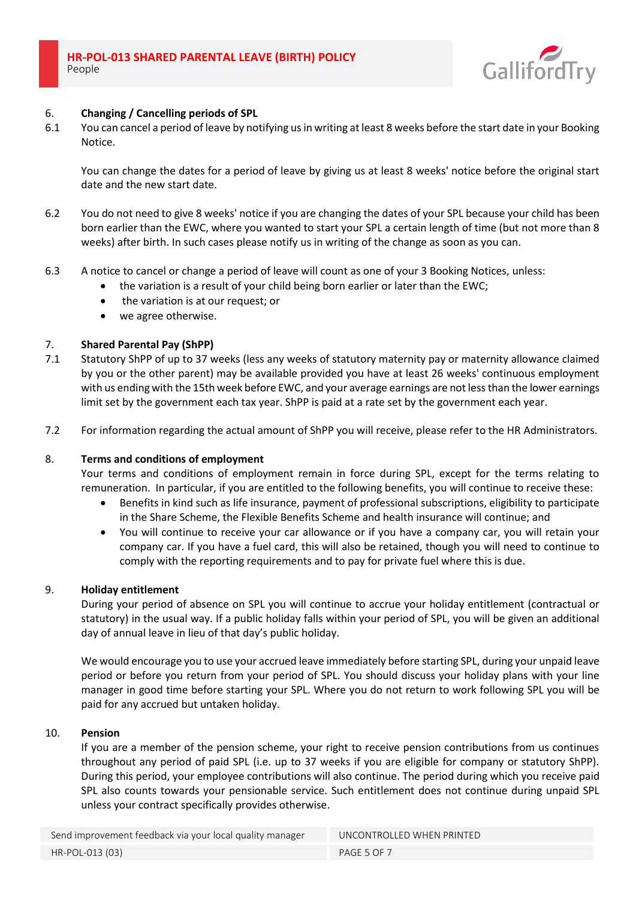

#### 6. **Changing / Cancelling periods of SPL**

6.1 You can cancel a period of leave by notifying us in writing at least 8 weeks before the start date in your Booking Notice.

You can change the dates for a period of leave by giving us at least 8 weeks' notice before the original start date and the new start date.

- 6.2 You do not need to give 8 weeks' notice if you are changing the dates of your SPL because your child has been born earlier than the EWC, where you wanted to start your SPL a certain length of time (but not more than 8 weeks) after birth. In such cases please notify us in writing of the change as soon as you can.
- 6.3 A notice to cancel or change a period of leave will count as one of your 3 Booking Notices, unless:
	- the variation is a result of your child being born earlier or later than the EWC;
	- the variation is at our request; or
	- we agree otherwise.

#### 7. **Shared Parental Pay (ShPP)**

- 7.1 Statutory ShPP of up to 37 weeks (less any weeks of statutory maternity pay or maternity allowance claimed by you or the other parent) may be available provided you have at least 26 weeks' continuous employment with us ending with the 15th week before EWC, and your average earnings are not less than the lower earnings limit set by the government each tax year. ShPP is paid at a rate set by the government each year.
- 7.2 For information regarding the actual amount of ShPP you will receive, please refer to the HR Administrators.

#### 8. **Terms and conditions of employment**

Your terms and conditions of employment remain in force during SPL, except for the terms relating to remuneration. In particular, if you are entitled to the following benefits, you will continue to receive these:

- Benefits in kind such as life insurance, payment of professional subscriptions, eligibility to participate in the Share Scheme, the Flexible Benefits Scheme and health insurance will continue; and
- You will continue to receive your car allowance or if you have a company car, you will retain your company car. If you have a fuel card, this will also be retained, though you will need to continue to comply with the reporting requirements and to pay for private fuel where this is due.

#### 9. **Holiday entitlement**

During your period of absence on SPL you will continue to accrue your holiday entitlement (contractual or statutory) in the usual way. If a public holiday falls within your period of SPL, you will be given an additional day of annual leave in lieu of that day's public holiday.

We would encourage you to use your accrued leave immediately before starting SPL, during your unpaid leave period or before you return from your period of SPL. You should discuss your holiday plans with your line manager in good time before starting your SPL. Where you do not return to work following SPL you will be paid for any accrued but untaken holiday.

#### 10. **Pension**

If you are a member of the pension scheme, your right to receive pension contributions from us continues throughout any period of paid SPL (i.e. up to 37 weeks if you are eligible for company or statutory ShPP). During this period, your employee contributions will also continue. The period during which you receive paid SPL also counts towards your pensionable service. Such entitlement does not continue during unpaid SPL unless your contract specifically provides otherwise.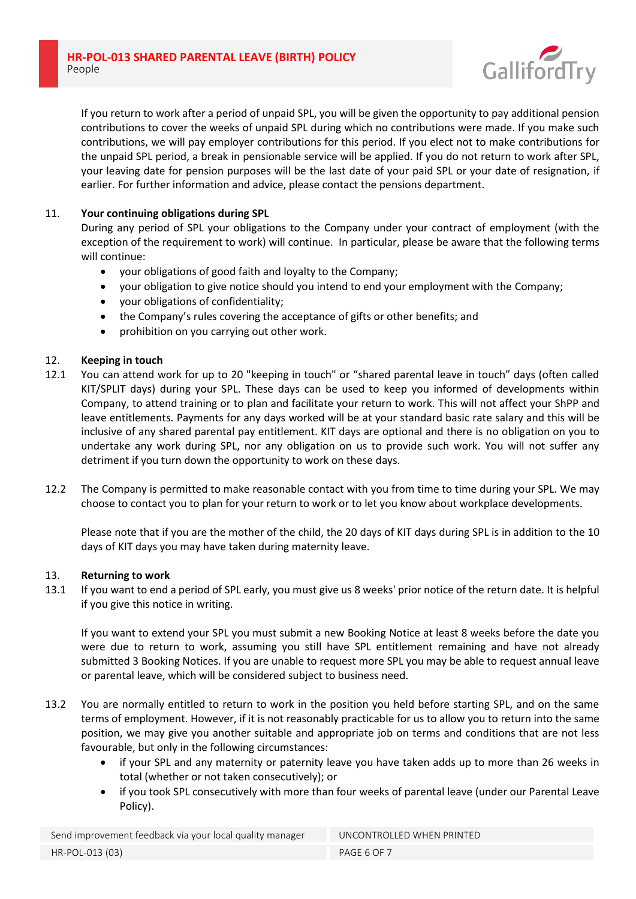

If you return to work after a period of unpaid SPL, you will be given the opportunity to pay additional pension contributions to cover the weeks of unpaid SPL during which no contributions were made. If you make such contributions, we will pay employer contributions for this period. If you elect not to make contributions for the unpaid SPL period, a break in pensionable service will be applied. If you do not return to work after SPL, your leaving date for pension purposes will be the last date of your paid SPL or your date of resignation, if earlier. For further information and advice, please contact the pensions department.

# 11. **Your continuing obligations during SPL**

During any period of SPL your obligations to the Company under your contract of employment (with the exception of the requirement to work) will continue. In particular, please be aware that the following terms will continue:

- your obligations of good faith and loyalty to the Company;
- your obligation to give notice should you intend to end your employment with the Company;
- your obligations of confidentiality;
- the Company's rules covering the acceptance of gifts or other benefits; and
- prohibition on you carrying out other work.

# 12. **Keeping in touch**

- 12.1 You can attend work for up to 20 "keeping in touch" or "shared parental leave in touch" days (often called KIT/SPLIT days) during your SPL. These days can be used to keep you informed of developments within Company, to attend training or to plan and facilitate your return to work. This will not affect your ShPP and leave entitlements. Payments for any days worked will be at your standard basic rate salary and this will be inclusive of any shared parental pay entitlement. KIT days are optional and there is no obligation on you to undertake any work during SPL, nor any obligation on us to provide such work. You will not suffer any detriment if you turn down the opportunity to work on these days.
- 12.2 The Company is permitted to make reasonable contact with you from time to time during your SPL. We may choose to contact you to plan for your return to work or to let you know about workplace developments.

Please note that if you are the mother of the child, the 20 days of KIT days during SPL is in addition to the 10 days of KIT days you may have taken during maternity leave.

## 13. **Returning to work**

13.1 If you want to end a period of SPL early, you must give us 8 weeks' prior notice of the return date. It is helpful if you give this notice in writing.

If you want to extend your SPL you must submit a new Booking Notice at least 8 weeks before the date you were due to return to work, assuming you still have SPL entitlement remaining and have not already submitted 3 Booking Notices. If you are unable to request more SPL you may be able to request annual leave or parental leave, which will be considered subject to business need.

- 13.2 You are normally entitled to return to work in the position you held before starting SPL, and on the same terms of employment. However, if it is not reasonably practicable for us to allow you to return into the same position, we may give you another suitable and appropriate job on terms and conditions that are not less favourable, but only in the following circumstances:
	- if your SPL and any maternity or paternity leave you have taken adds up to more than 26 weeks in total (whether or not taken consecutively); or
	- if you took SPL consecutively with more than four weeks of parental leave (under our Parental Leave Policy).